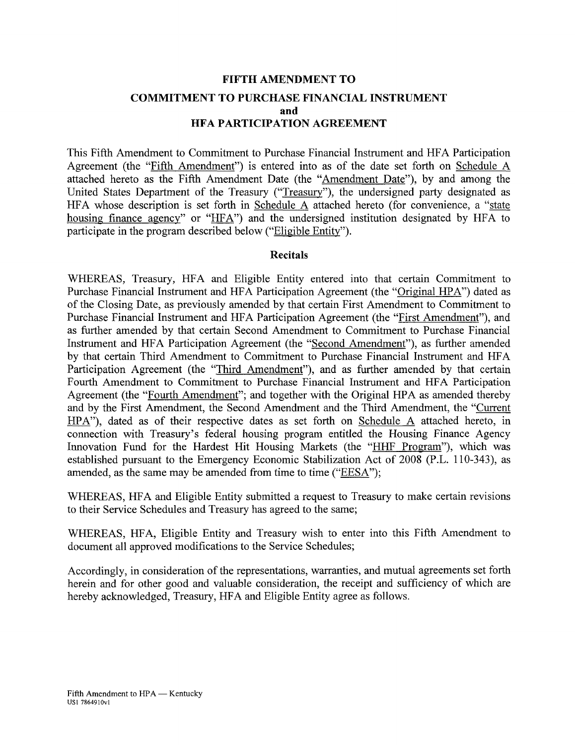# **FIFTH AMENDMENT TO COMMITMENT TO PURCHASE FINANCIAL INSTRUMENT and HFA PARTICIPATION AGREEMENT**

This Fifth Amendment to Commitment to Purchase Financial Instrument and HFA Participation Agreement (the "Fifth Amendment") is entered into as of the date set forth on Schedule A attached hereto as the Fifth Amendment Date (the "Amendment Date"), by and among the United States Department of the Treasury ("Treasury"), the undersigned party designated as HFA whose description is set forth in Schedule A attached hereto (for convenience, a "state housing finance agency" or "HFA") and the undersigned institution designated by HFA to participate in the program described below ("Eligible Entity").

### **Recitals**

WHEREAS, Treasury, HFA and Eligible Entity entered into that certain Commitment to Purchase Financial Instrument and HFA Participation Agreement (the "Original HPA") dated as of the Closing Date, as previously amended by that certain First Amendment to Commitment to Purchase Financial Instrument and HFA Participation Agreement (the "First Amendment"), and as further amended by that certain Second Amendment to Commitment to Purchase Financial Instrument and HFA Participation Agreement (the "Second Amendment"), as further amended by that certain Third Amendment to Commitment to Purchase Financial Instrument and HFA Participation Agreement (the "Third Amendment"), and as further amended by that certain Fourth Amendment to Commitment to Purchase Financial Instrument and HFA Participation Agreement (the "Fourth Amendment"; and together with the Original HPA as amended thereby and by the First Amendment, the Second Amendment and the Third Amendment, the "Current HPA"), dated as of their respective dates as set forth on Schedule A attached hereto, in connection with Treasury's federal housing program entitled the Housing Finance Agency Innovation Fund for the Hardest Hit Housing Markets (the "HHF Program"), which was established pursuant to the Emergency Economic Stabilization Act of 2008 (P.L. 110-343), as amended, as the same may be amended from time to time ("EESA");

WHEREAS, HFA and Eligible Entity submitted a request to Treasury to make certain revisions to their Service Schedules and Treasury has agreed to the same;

WHEREAS, HFA, Eligible Entity and Treasury wish to enter into this Fifth Amendment to document all approved modifications to the Service Schedules;

Accordingly, in consideration of the representations, warranties, and mutual agreements set forth herein and for other good and valuable consideration, the receipt and sufficiency of which are hereby acknowledged, Treasury, HFA and Eligible Entity agree as follows.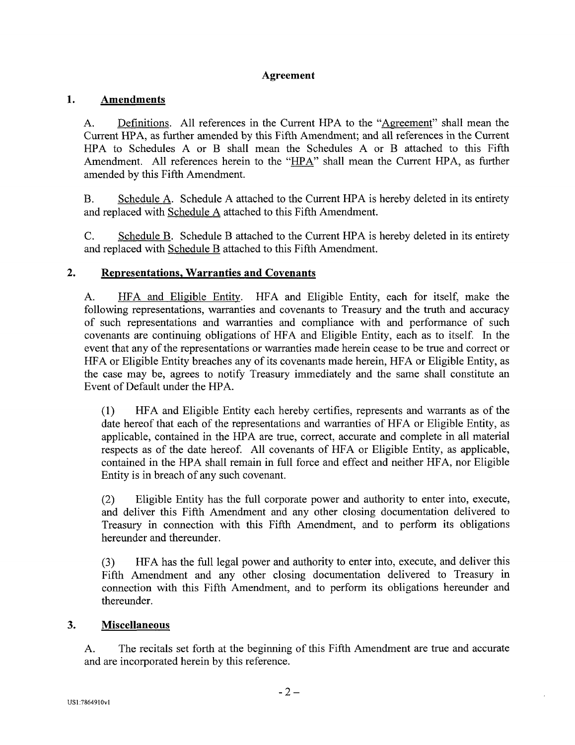### **Agreement**

### **1. Amendments**

A. Definitions. All references in the Current HPA to the "Agreement" shall mean the Current HPA, as further amended by this Fifth Amendment; and all references in the Current HPA to Schedules A or B shall mean the Schedules A or B attached to this Fifth Amendment. All references herein to the "HPA" shall mean the Current HPA, as further amended by this Fifth Amendment.

B. Schedule A. Schedule A attached to the Current HPA is hereby deleted in its entirety and replaced with Schedule A attached to this Fifth Amendment.

C. Schedule B. Schedule B attached to the Current HPA is hereby deleted in its entirety and replaced with Schedule B attached to this Fifth Amendment.

### **2. Representations, Warranties and Covenants**

A. HFA and Eligible Entity. HFA and Eligible Entity, each for itself, make the following representations, warranties and covenants to Treasury and the truth and accuracy of such representations and warranties and compliance with and performance of such covenants are continuing obligations of HFA and Eligible Entity, each as to itself. In the event that any of the representations or warranties made herein cease to be true and correct or HFA or Eligible Entity breaches any of its covenants made herein, HFA or Eligible Entity, as the case may be, agrees to notify Treasury immediately and the same shall constitute an Event of Default under the HPA.

(1) HFA and Eligible Entity each hereby certifies, represents and warrants as of the date hereof that each of the representations and warranties of HFA or Eligible Entity, as applicable, contained in the HPA are true, correct, accurate and complete in all material respects as of the date hereof. All covenants of HFA or Eligible Entity, as applicable, contained in the HPA shall remain in full force and effect and neither HFA, nor Eligible Entity is in breach of any such covenant.

(2) Eligible Entity has the full corporate power and authority to enter into, execute, and deliver this Fifth Amendment and any other closing documentation delivered to Treasury in connection with this Fifth Amendment, and to perform its obligations hereunder and thereunder.

(3) HFA has the full legal power and authority to enter into, execute, and deliver this Fifth Amendment and any other closing documentation delivered to Treasury in connection with this Fifth Amendment, and to perform its obligations hereunder and thereunder.

### **3. Miscellaneous**

A. The recitals set forth at the beginning of this Fifth Amendment are true and accurate and are incorporated herein by this reference.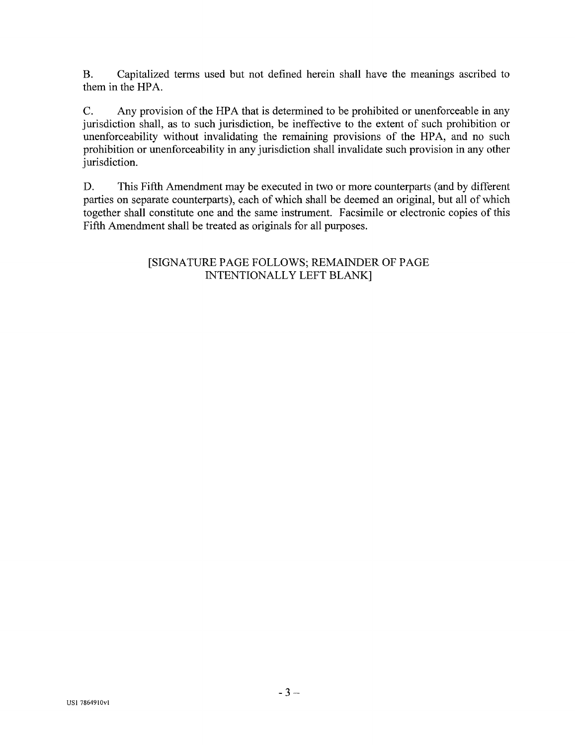B. Capitalized terms used but not defined herein shall have the meanings ascribed to them in the HPA.

C. Any provision of the HPA that is determined to be prohibited or unenforceable in any jurisdiction shall, as to such jurisdiction, be ineffective to the extent of such prohibition or unenforceability without invalidating the remaining provisions of the HPA, and no such prohibition or unenforceability in any jurisdiction shall invalidate such provision in any other jurisdiction.

D. This Fifth Amendment may be executed in two or more counterparts (and by different parties on separate counterparts), each of which shall be deemed an original, but all of which together shall constitute one and the same instrument. Facsimile or electronic copies of this Fifth Amendment shall be treated as originals for all purposes.

# [SIGNATURE PAGE FOLLOWS; REMAINDER OF PAGE INTENTIONALLY LEFT BLANK]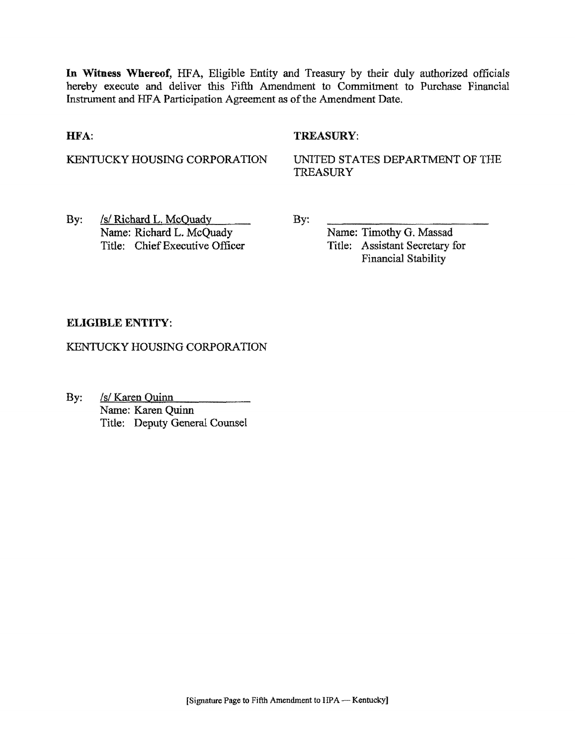**In Witness Whereof,** HFA, Eligible Entity and Treasury by their duly authorized officials hereby execute and deliver this Fifth Amendment to Commitment to Purchase Financial Instrument and HFA Participation Agreement as of the Amendment Date.

### HFA:

### TREASURY:

KENTUCKY HOUSING CORPORATION

UNITED STATES DEPARTMENT OF THE TREASURY

By: /s/ Richard L, McOuadv Name: Richard L. McQuady Title: Chief Executive Officer By:

Name: Timothy G. Massad Title: Assistant Secretary for Financial Stability

# ELIGIBLE ENTITY:

KENTUCKY HOUSING CORPORATION

By: /s/ Karen Quinn Name: Karen Quinn Title: Deputy General Counsel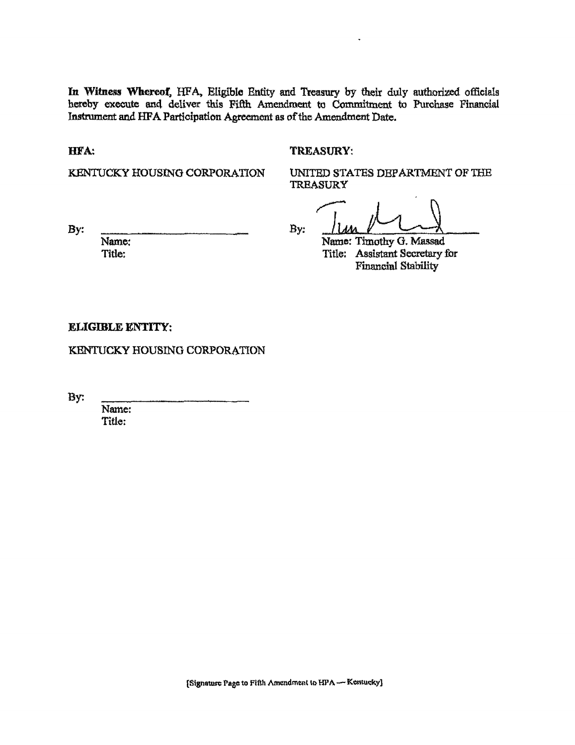In Witness Whereof, HFA, Eligible Entity and Treasury by their duly authorized officials hereby execute and deliver this Fifth Amendment to Commitment to Purchase Financial Instrument and HFA Participation Agreement as of the Amendment Date.

HFA:

#### TREASURY:

KENTUCKY HOUSING CORPORATION

UNITED STATES DEPARTMENT OF THE **TREASURY** 

 $By:$   $\frac{1}{100}$ 

By:

Name; Title:

Name: Timothy G. Massad Title: Assistant Secretary for Financial Stability

ELIGIBLE ENTITY:

KENTUCKY HOUSING CORPORATION

By:

Name: Title: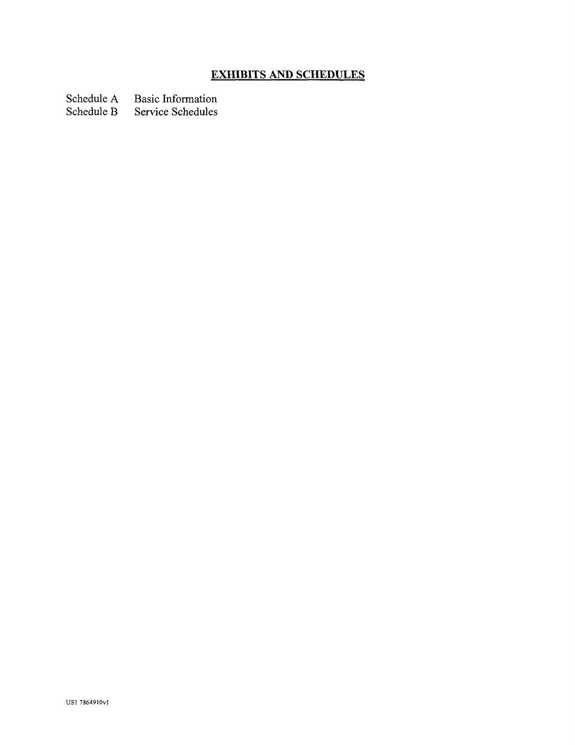# **EXHIBITS AND SCHEDULES**

Schedule A Basic Information<br>Schedule B Service Schedules

Service Schedules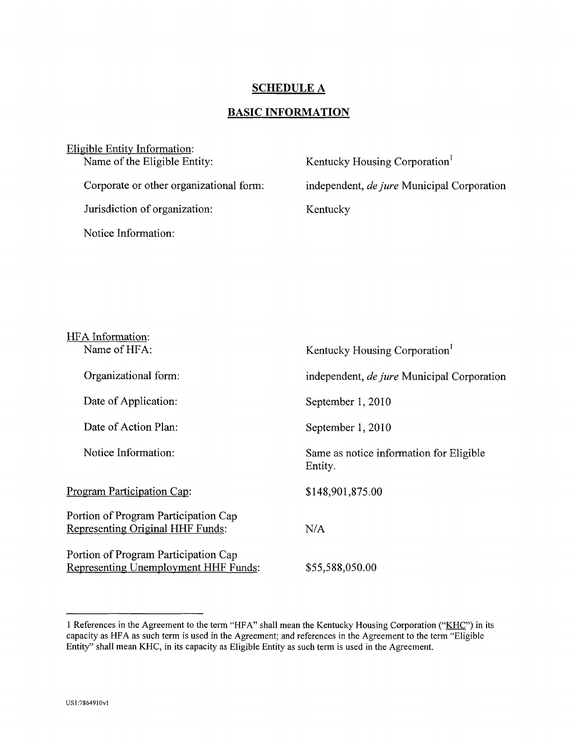### **SCHEDULE A**

## **BASIC INFORMATION**

| Eligible Entity Information:            |                                            |
|-----------------------------------------|--------------------------------------------|
| Name of the Eligible Entity:            | Kentucky Housing Corporation               |
| Corporate or other organizational form: | independent, de jure Municipal Corporation |
| Jurisdiction of organization:           | Kentucky                                   |
| Notice Information:                     |                                            |

| HFA Information:                                                             |                                                    |
|------------------------------------------------------------------------------|----------------------------------------------------|
| Name of HFA:                                                                 | Kentucky Housing Corporation <sup>1</sup>          |
| Organizational form:                                                         | independent, <i>de jure</i> Municipal Corporation  |
| Date of Application:                                                         | September 1, 2010                                  |
| Date of Action Plan:                                                         | September 1, 2010                                  |
| Notice Information:                                                          | Same as notice information for Eligible<br>Entity. |
| Program Participation Cap:                                                   | \$148,901,875.00                                   |
| Portion of Program Participation Cap<br>Representing Original HHF Funds:     | N/A                                                |
| Portion of Program Participation Cap<br>Representing Unemployment HHF Funds: | \$55,588,050.00                                    |

<sup>1</sup> References in the Agreement to the term "HFA" shall mean the Kentucky Housing Corporation ("KHC") in its capacity as HFA as such term is used in the Agreement; and references in the Agreement to the term "Eligible Entity" shall mean KHC, in its capacity as Eligible Entity as such term is used in the Agreement.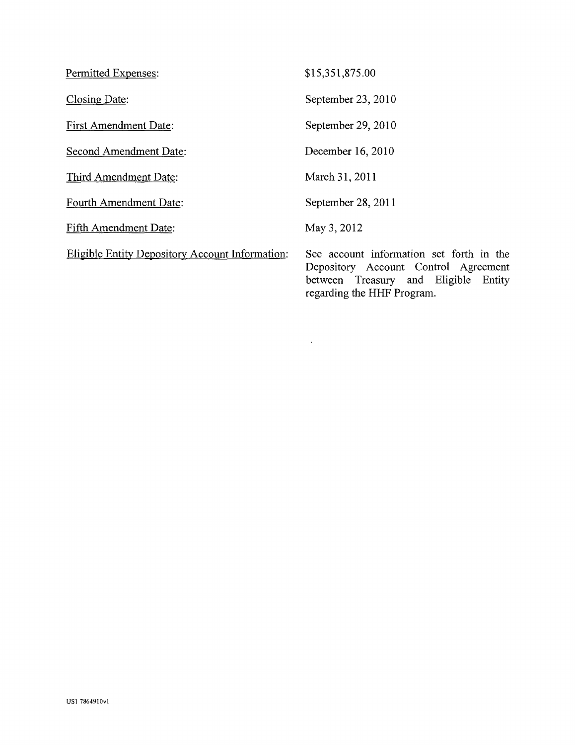| Permitted Expenses:                                    | \$15,351,875.00                           |
|--------------------------------------------------------|-------------------------------------------|
| Closing Date:                                          | September 23, 2010                        |
| <b>First Amendment Date:</b>                           | September 29, 2010                        |
| Second Amendment Date:                                 | December 16, 2010                         |
| Third Amendment Date:                                  | March 31, 2011                            |
| Fourth Amendment Date:                                 | September 28, 2011                        |
| <b>Fifth Amendment Date:</b>                           | May 3, 2012                               |
| <b>Eligible Entity Depository Account Information:</b> | See account informa<br>Depository Account |

See account information set forth in the Depository Account Control Agreement between Treasury and Eligible Entity regarding the HHF Program.

 $\chi^{\pm}$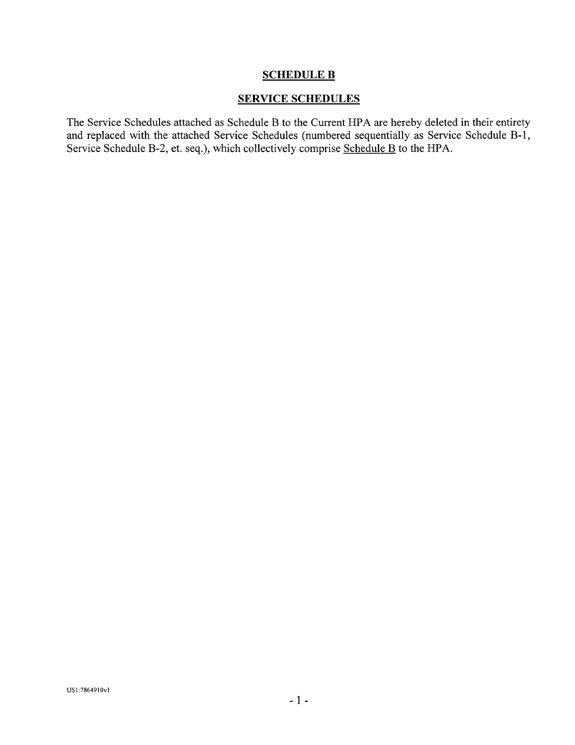### **SCHEDULE B**

### SERVICE SCHEDULES

The Service Schedules attached as Schedule B to the Current HPA are hereby deleted in their entirety and replaced with the attached Service Schedules (numbered sequentially as Service Schedule B-l, Service Schedule B-2, et. seq.), which collectively comprise Schedule B to the HPA.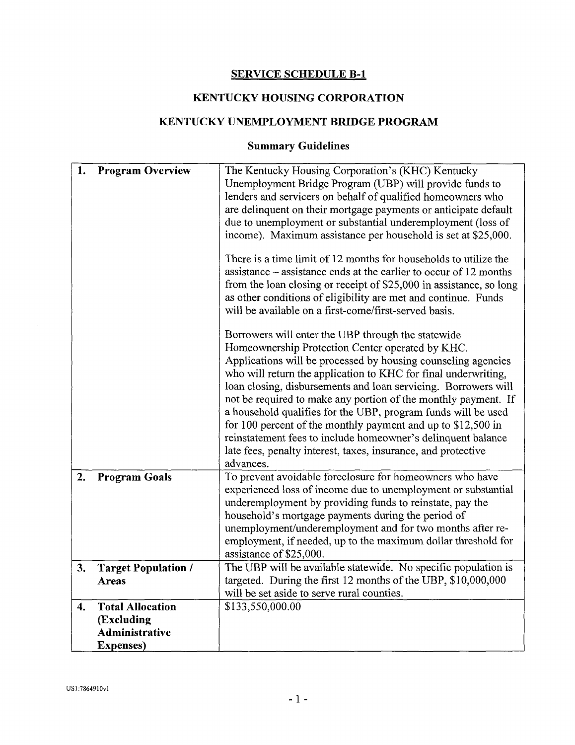# SERVICE SCHEDULE B-l

# KENTUCKY HOUSING CORPORATION

# KENTUCKY UNEMPLOYMENT BRIDGE PROGRAM

# **Summary Guidelines**

| 1.                 | <b>Program Overview</b>                    | The Kentucky Housing Corporation's (KHC) Kentucky<br>Unemployment Bridge Program (UBP) will provide funds to<br>lenders and servicers on behalf of qualified homeowners who<br>are delinquent on their mortgage payments or anticipate default<br>due to unemployment or substantial underemployment (loss of<br>income). Maximum assistance per household is set at \$25,000.                                                                                                                                                                                                                                                                                |
|--------------------|--------------------------------------------|---------------------------------------------------------------------------------------------------------------------------------------------------------------------------------------------------------------------------------------------------------------------------------------------------------------------------------------------------------------------------------------------------------------------------------------------------------------------------------------------------------------------------------------------------------------------------------------------------------------------------------------------------------------|
|                    |                                            | There is a time limit of 12 months for households to utilize the<br>assistance – assistance ends at the earlier to occur of 12 months<br>from the loan closing or receipt of \$25,000 in assistance, so long<br>as other conditions of eligibility are met and continue. Funds<br>will be available on a first-come/first-served basis.                                                                                                                                                                                                                                                                                                                       |
|                    |                                            | Borrowers will enter the UBP through the statewide<br>Homeownership Protection Center operated by KHC.<br>Applications will be processed by housing counseling agencies<br>who will return the application to KHC for final underwriting,<br>loan closing, disbursements and loan servicing. Borrowers will<br>not be required to make any portion of the monthly payment. If<br>a household qualifies for the UBP, program funds will be used<br>for 100 percent of the monthly payment and up to $$12,500$ in<br>reinstatement fees to include homeowner's delinquent balance<br>late fees, penalty interest, taxes, insurance, and protective<br>advances. |
| 2.                 | <b>Program Goals</b>                       | To prevent avoidable foreclosure for homeowners who have<br>experienced loss of income due to unemployment or substantial<br>underemployment by providing funds to reinstate, pay the<br>household's mortgage payments during the period of<br>unemployment/underemployment and for two months after re-<br>employment, if needed, up to the maximum dollar threshold for<br>assistance of \$25,000.                                                                                                                                                                                                                                                          |
| 3.                 | <b>Target Population /</b><br><b>Areas</b> | The UBP will be available statewide. No specific population is<br>targeted. During the first 12 months of the UBP, \$10,000,000                                                                                                                                                                                                                                                                                                                                                                                                                                                                                                                               |
|                    |                                            | will be set aside to serve rural counties.                                                                                                                                                                                                                                                                                                                                                                                                                                                                                                                                                                                                                    |
| $\boldsymbol{4}$ . | <b>Total Allocation</b>                    | \$133,550,000.00                                                                                                                                                                                                                                                                                                                                                                                                                                                                                                                                                                                                                                              |
|                    | (Excluding                                 |                                                                                                                                                                                                                                                                                                                                                                                                                                                                                                                                                                                                                                                               |
|                    | <b>Administrative</b>                      |                                                                                                                                                                                                                                                                                                                                                                                                                                                                                                                                                                                                                                                               |
|                    | <b>Expenses</b> )                          |                                                                                                                                                                                                                                                                                                                                                                                                                                                                                                                                                                                                                                                               |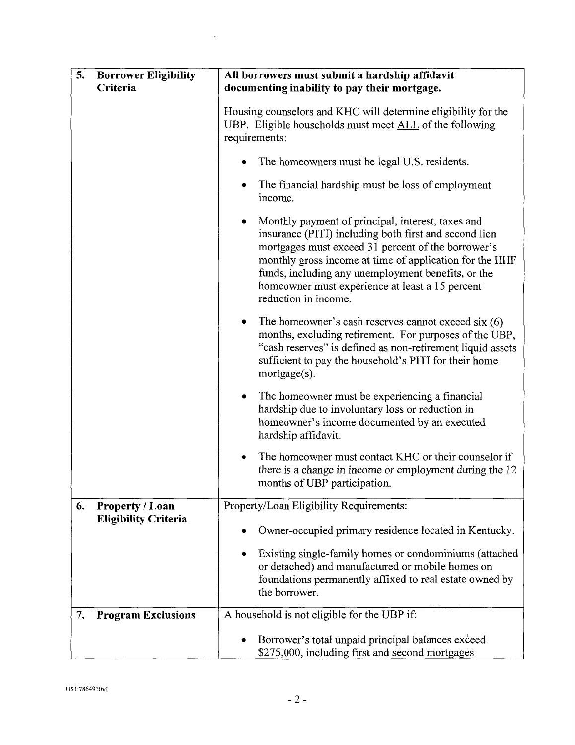| 5.<br><b>Borrower Eligibility</b>                    | All borrowers must submit a hardship affidavit                                                                                                                                                                                                                                                                                                               |
|------------------------------------------------------|--------------------------------------------------------------------------------------------------------------------------------------------------------------------------------------------------------------------------------------------------------------------------------------------------------------------------------------------------------------|
| Criteria                                             | documenting inability to pay their mortgage.                                                                                                                                                                                                                                                                                                                 |
|                                                      | Housing counselors and KHC will determine eligibility for the<br>UBP. Eligible households must meet ALL of the following<br>requirements:                                                                                                                                                                                                                    |
|                                                      | The homeowners must be legal U.S. residents.                                                                                                                                                                                                                                                                                                                 |
|                                                      | The financial hardship must be loss of employment<br>income.                                                                                                                                                                                                                                                                                                 |
|                                                      | Monthly payment of principal, interest, taxes and<br>insurance (PITI) including both first and second lien<br>mortgages must exceed 31 percent of the borrower's<br>monthly gross income at time of application for the HHF<br>funds, including any unemployment benefits, or the<br>homeowner must experience at least a 15 percent<br>reduction in income. |
|                                                      | The homeowner's cash reserves cannot exceed six $(6)$<br>months, excluding retirement. For purposes of the UBP,<br>"cash reserves" is defined as non-retirement liquid assets<br>sufficient to pay the household's PITI for their home<br>$mortgage(s)$ .                                                                                                    |
|                                                      | The homeowner must be experiencing a financial<br>٠<br>hardship due to involuntary loss or reduction in<br>homeowner's income documented by an executed<br>hardship affidavit.                                                                                                                                                                               |
|                                                      | The homeowner must contact KHC or their counselor if<br>there is a change in income or employment during the 12<br>months of UBP participation.                                                                                                                                                                                                              |
| Property / Loan<br>6.<br><b>Eligibility Criteria</b> | Property/Loan Eligibility Requirements:                                                                                                                                                                                                                                                                                                                      |
|                                                      | Owner-occupied primary residence located in Kentucky.                                                                                                                                                                                                                                                                                                        |
|                                                      | Existing single-family homes or condominiums (attached<br>or detached) and manufactured or mobile homes on<br>foundations permanently affixed to real estate owned by<br>the borrower.                                                                                                                                                                       |
| 7.<br><b>Program Exclusions</b>                      | A household is not eligible for the UBP if:                                                                                                                                                                                                                                                                                                                  |
|                                                      | Borrower's total unpaid principal balances exceed<br>\$275,000, including first and second mortgages                                                                                                                                                                                                                                                         |

 $\mathcal{L}(\mathcal{L})$  and  $\mathcal{L}(\mathcal{L})$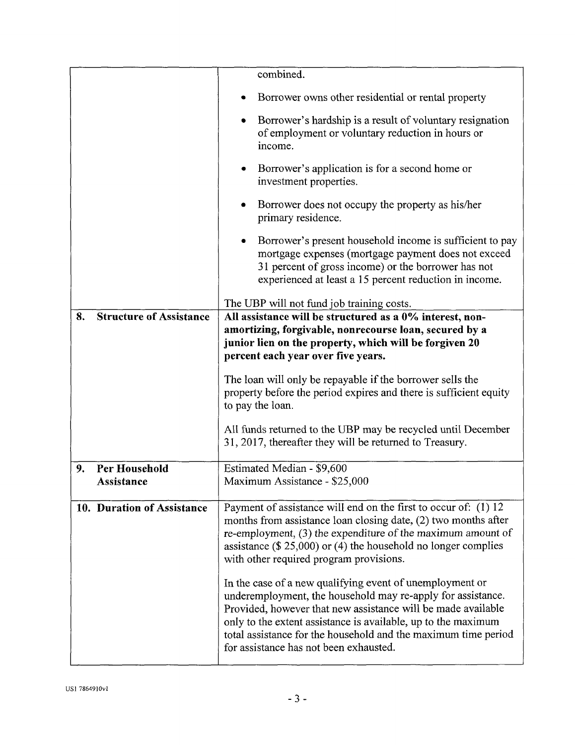|                                      | combined.                                                                                                                                                                                                                                                                                                                                                            |
|--------------------------------------|----------------------------------------------------------------------------------------------------------------------------------------------------------------------------------------------------------------------------------------------------------------------------------------------------------------------------------------------------------------------|
|                                      | Borrower owns other residential or rental property                                                                                                                                                                                                                                                                                                                   |
|                                      | Borrower's hardship is a result of voluntary resignation<br>of employment or voluntary reduction in hours or<br>income.                                                                                                                                                                                                                                              |
|                                      | Borrower's application is for a second home or<br>investment properties.                                                                                                                                                                                                                                                                                             |
|                                      | Borrower does not occupy the property as his/her<br>primary residence.                                                                                                                                                                                                                                                                                               |
|                                      | Borrower's present household income is sufficient to pay<br>$\bullet$<br>mortgage expenses (mortgage payment does not exceed<br>31 percent of gross income) or the borrower has not<br>experienced at least a 15 percent reduction in income.                                                                                                                        |
|                                      | The UBP will not fund job training costs.                                                                                                                                                                                                                                                                                                                            |
| <b>Structure of Assistance</b><br>8. | All assistance will be structured as a 0% interest, non-<br>amortizing, forgivable, nonrecourse loan, secured by a<br>junior lien on the property, which will be forgiven 20<br>percent each year over five years.                                                                                                                                                   |
|                                      | The loan will only be repayable if the borrower sells the<br>property before the period expires and there is sufficient equity<br>to pay the loan.                                                                                                                                                                                                                   |
|                                      | All funds returned to the UBP may be recycled until December<br>31, 2017, thereafter they will be returned to Treasury.                                                                                                                                                                                                                                              |
| Per Household<br>9.<br>Assistance    | Estimated Median - \$9,600<br>Maximum Assistance - \$25,000                                                                                                                                                                                                                                                                                                          |
| 10. Duration of Assistance           | Payment of assistance will end on the first to occur of: (1) 12<br>months from assistance loan closing date, (2) two months after<br>re-employment, $(3)$ the expenditure of the maximum amount of<br>assistance $(\$25,000)$ or $(4)$ the household no longer complies<br>with other required program provisions.                                                   |
|                                      | In the case of a new qualifying event of unemployment or<br>underemployment, the household may re-apply for assistance.<br>Provided, however that new assistance will be made available<br>only to the extent assistance is available, up to the maximum<br>total assistance for the household and the maximum time period<br>for assistance has not been exhausted. |